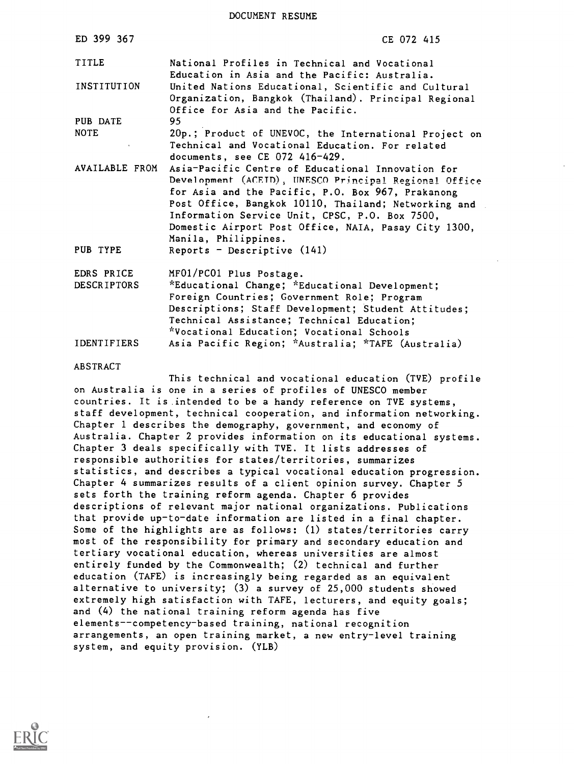DOCUMENT RESUME

| ED 399 367                       | CE 072 415                                                                                                                                                                                                                                                                                                                                                |
|----------------------------------|-----------------------------------------------------------------------------------------------------------------------------------------------------------------------------------------------------------------------------------------------------------------------------------------------------------------------------------------------------------|
| TITLE                            | National Profiles in Technical and Vocational<br>Education in Asia and the Pacific: Australia.                                                                                                                                                                                                                                                            |
| <b>INSTITUTION</b>               | United Nations Educational, Scientific and Cultural<br>Organization, Bangkok (Thailand). Principal Regional<br>Office for Asia and the Pacific.                                                                                                                                                                                                           |
| PUB DATE                         | 95                                                                                                                                                                                                                                                                                                                                                        |
| <b>NOTE</b>                      | 20p.; Product of UNEVOC, the International Project on<br>Technical and Vocational Education. For related<br>documents, see CE 072 416-429.                                                                                                                                                                                                                |
| AVAILABLE FROM                   | Asia-Pacific Centre of Educational Innovation for<br>Development (ACEID), UNESCO Principal Regional Office<br>for Asia and the Pacific, P.O. Box 967, Prakanong<br>Post Office, Bangkok 10110, Thailand; Networking and<br>Information Service Unit, CPSC, P.O. Box 7500,<br>Domestic Airport Post Office, NAIA, Pasay City 1300,<br>Manila, Philippines. |
| PUB TYPE                         | Reports - Descriptive $(141)$                                                                                                                                                                                                                                                                                                                             |
| EDRS PRICE<br><b>DESCRIPTORS</b> | MF01/PC01 Plus Postage.<br>*Educational Change; *Educational Development;<br>Foreign Countries; Government Role; Program<br>Descriptions; Staff Development; Student Attitudes;<br>Technical Assistance; Technical Education;                                                                                                                             |
| <b>IDENTIFIERS</b>               | *Vocational Education; Vocational Schools<br>Asia Pacific Region; *Australia; *TAFE (Australia)                                                                                                                                                                                                                                                           |
| <b>ABSTRACT</b>                  |                                                                                                                                                                                                                                                                                                                                                           |

This technical and vocational education (TVE) profile on Australia is one in a series of profiles of UNESCO member countries. It is intended to be a handy reference on TVE systems, staff development, technical cooperation, and information networking. Chapter 1 describes the demography, government, and economy of Australia. Chapter 2 provides information on its educational systems. Chapter 3 deals specifically with TVE. It lists addresses of responsible authorities for states/territories, summarizes statistics, and describes a typical vocational education progression. Chapter 4 summarizes results of a client opinion survey. Chapter 5 sets forth the training reform agenda. Chapter 6 provides descriptions of relevant major national organizations. Publications that provide up-to-date information are listed in a final chapter. Some of the highlights are as follows: (1) states/territories carry most of the responsibility for primary and secondary education and tertiary vocational education, whereas universities are almost entirely funded by the Commonwealth; (2) technical and further education (TAFE) is increasingly being regarded as an equivalent alternative to university; (3) a survey of 25,000 students showed extremely high satisfaction with TAFE, lecturers, and equity goals; and (4) the national training reform agenda has five elements--competency-based training, national recognition arrangements, an open training market, a new entry-level training system, and equity provision. (YLB)

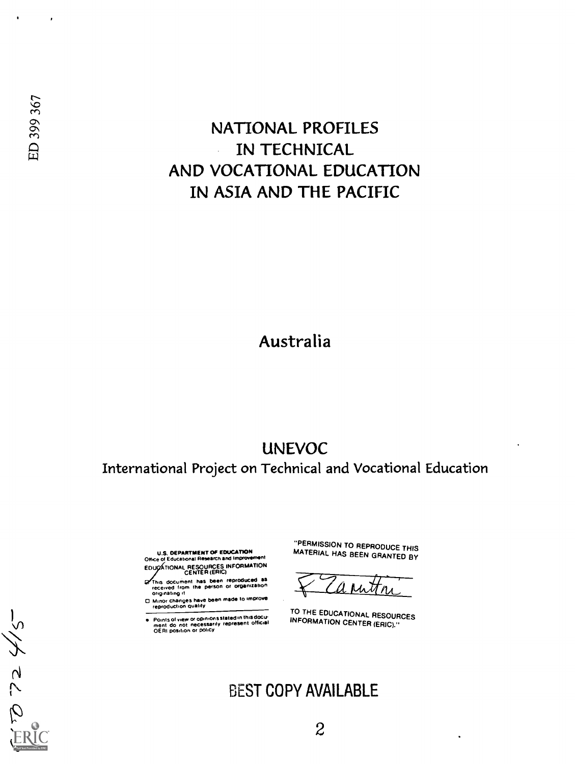## NATIONAL PROFILES IN TECHNICAL  $\ddot{\phantom{a}}$ AND VOCATIONAL EDUCATION IN ASIA AND THE PACIFIC

## Australia

## UNEVOC International Project on Technical and Vocational Education

U.S. DEPARTMENT OF EDUCATION Once of Educational Research end Improvement

- EDUCATIONAL RESOURCES INFORMATION 7his document has been reproduced as<br>received from the person or organization<br>originating it
- 0 Minor changes have been made to improve reproduction ctuaiity
- 
- Points of view or opinions stated in this docu-<br>ment :do: not: necessarily represent official<br>OERI position or policy

"PERMISSION TO REPRODUCE THIS MATERIAL HAS BEEN GRANTED BY

TO THE EDUCATIONAL RESOURCES INFORMATION CENTER (ERIC)."

## BEST COPY AVAILABLE

 $\bullet$ 

 $\mathcal{A}$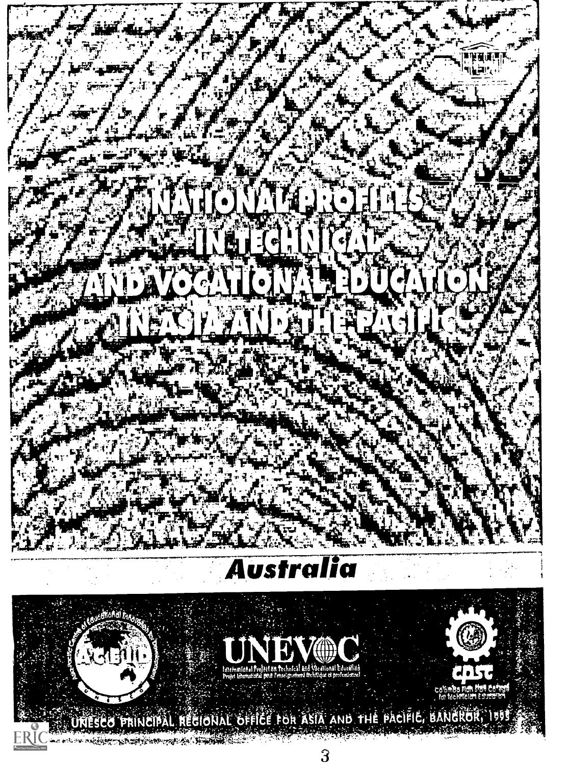

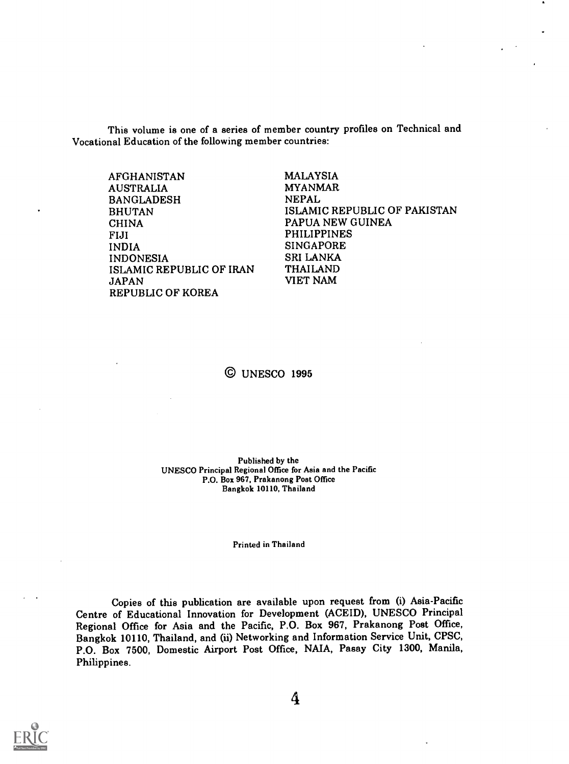This volume is one of a series of member country profiles on Technical and Vocational Education of the following member countries:

| AFGHANISTAN              | <b>MALAYSIA</b>              |
|--------------------------|------------------------------|
| <b>AUSTRALIA</b>         | <b>MYANMAR</b>               |
| <b>BANGLADESH</b>        | <b>NEPAL</b>                 |
| <b>BHUTAN</b>            | ISLAMIC REPUBLIC OF PAKISTAN |
| <b>CHINA</b>             | PAPUA NEW GUINEA             |
| <b>FIJI</b>              | <b>PHILIPPINES</b>           |
| <b>INDIA</b>             | <b>SINGAPORE</b>             |
| <b>INDONESIA</b>         | <b>SRI LANKA</b>             |
| ISLAMIC REPUBLIC OF IRAN | <b>THAILAND</b>              |
| <b>JAPAN</b>             | VIET NAM                     |
| REPUBLIC OF KOREA        |                              |

### © UNESCO 1995

Published by the UNESCO Principal Regional Office for Asia and the Pacific P.O. Box 967, Prakanong Post Office Bangkok 10110, Thailand

Printed in Thailand

Copies of this publication are available upon request from (i) Asia-Pacific Centre of Educational Innovation for Development (ACEID), UNESCO Principal Regional Office for Asia and the Pacific, P.O. Box 967, Prakanong Post Office, Bangkok 10110, Thailand, and (ii) Networking and Information Service Unit, CPSC, P.O. Box 7500, Domestic Airport Post Office, NAIA, Pasay City 1300, Manila, Philippines.

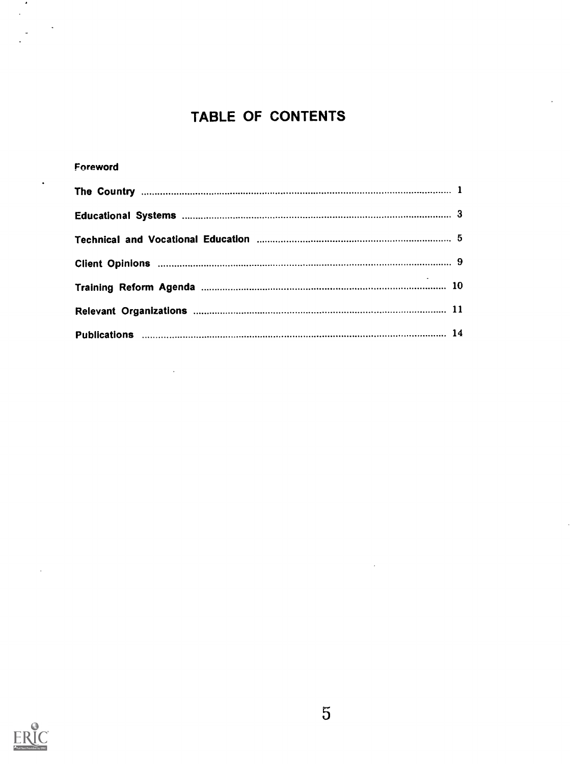## TABLE OF CONTENTS

#### Foreword

 $\sim$  4.  $\mathcal{L}^{\mathcal{L}}$ 

 $\ddot{\phantom{1}}$ 

 $\ddot{\phantom{0}}$ 

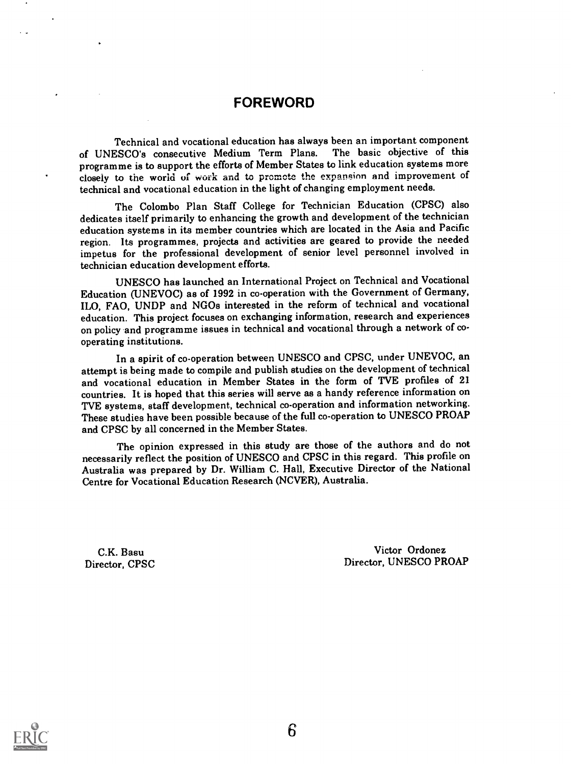### FOREWORD

Technical and vocational education has always been an important component<br>ESCO's, consecutive, Medium, Term, Plans. The basic, objective, of this of UNESCO's consecutive Medium Term Plans. programme is to support the efforts of Member States to link education systems more closely to the world of work and to promote the expansinn and improvement of technical and vocational education in the light of changing employment needs.

The Colombo Plan Staff College for Technician Education (CPSC) also dedicates itself primarily to enhancing the growth and development of the technician education systems in its member countries which are located in the Asia and Pacific region. Its programmes, projects and activities are geared to provide the needed impetus for the professional development of senior level personnel involved in technician education development efforts.

UNESCO has launched an International Project on Technical and Vocational Education (UNEVOC) as of 1992 in co-operation with the Government of Germany, ILO, FAO, UNDP and NGOs interested in the reform of technical and vocational education. This project focuses on exchanging information, research and experiences on policy and programme issues in technical and vocational through a network of cooperating institutions.

In a spirit of co-operation between UNESCO and CPSC, under UNEVOC, an attempt is being made to compile and publish studies on the development of technical and vocational education in Member States in the form of TVE profiles of 21 countries. It is hoped that this series will serve as a handy reference information on TVE systems, staff development, technical co-operation and information networking. These studies have been possible because of the full co-operation to UNESCO PROAP and CPSC by all concerned in the Member States.

The opinion expressed in this study are those of the authors and do not necessarily reflect the position of UNESCO and CPSC in this regard. This profile on Australia was prepared by Dr. William C. Hall, Executive Director of the National Centre for Vocational Education Research (NCVER), Australia.

C.K. Basu Director, CPSC

Victor Ordonez Director, UNESCO PROAP

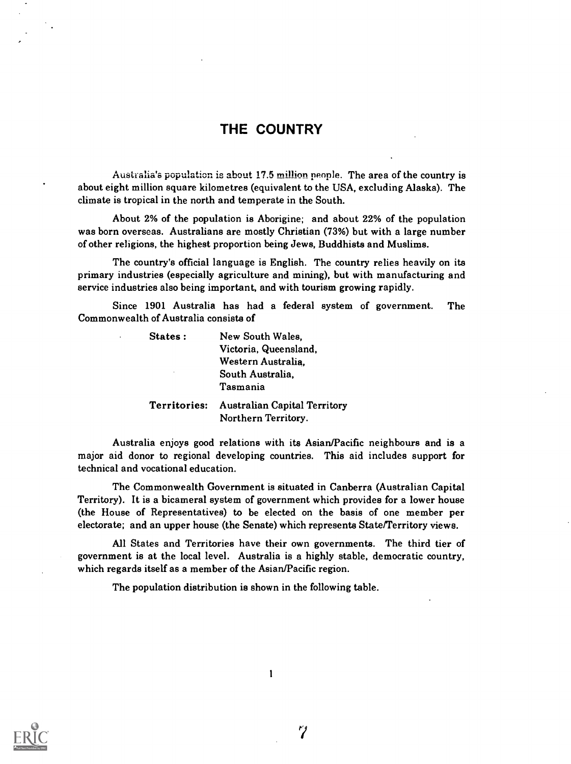### THE COUNTRY

Australia's population is about 17.5 million people. The area of the country is about eight million square kilometres (equivalent to the USA, excluding Alaska). The climate is tropical in the north and temperate in the South.

About 2% of the population is Aborigine; and about 22% of the population was born overseas. Australians are mostly Christian (73%) but with a large number of other religions, the highest proportion being Jews, Buddhists and Muslims.

The country's official language is English. The country relies heavily on its primary industries (especially agriculture and mining), but with manufacturing and service industries also being important, and with tourism growing rapidly.

Since 1901 Australia has had a federal system of government. The Commonwealth of Australia consists of

| States:      | New South Wales.                                           |
|--------------|------------------------------------------------------------|
|              | Victoria, Queensland,                                      |
|              | Western Australia.                                         |
| ٠            | South Australia,                                           |
|              | Tasmania                                                   |
| Territories: | <b>Australian Capital Territory</b><br>Northern Territory. |

Australia enjoys good relations with its Asian/Pacific neighbours and is a major aid donor to regional developing countries. This aid includes support for technical and vocational education.

The Commonwealth Government is situated in Canberra (Australian Capital Territory). It is a bicameral system of government which provides for a lower house (the House of Representatives) to be elected on the basis of one member per electorate; and an upper house (the Senate) which represents State/Territory views.

All States and Territories have their own governments. The third tier of government is at the local level. Australia is a highly stable, democratic country, which regards itself as a member of the Asian/Pacific region.

The population distribution is shown in the following table.



 $\tilde{7}$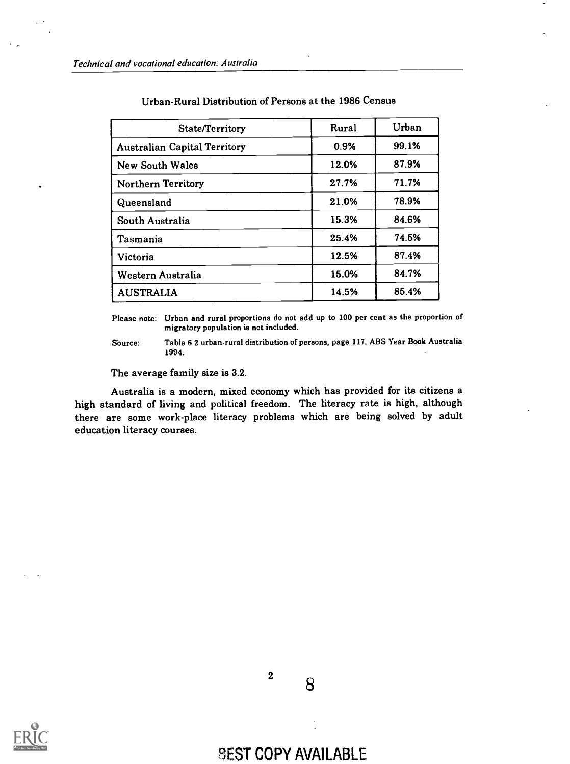| State/Territory                     | Rural | Urban |
|-------------------------------------|-------|-------|
| <b>Australian Capital Territory</b> | 0.9%  | 99.1% |
| <b>New South Wales</b>              | 12.0% | 87.9% |
| <b>Northern Territory</b>           | 27.7% | 71.7% |
| Queensland                          | 21.0% | 78.9% |
| South Australia                     | 15.3% | 84.6% |
| Tasmania                            | 25.4% | 74.5% |
| Victoria                            | 12.5% | 87.4% |
| Western Australia                   | 15.0% | 84.7% |
| <b>AUSTRALIA</b>                    | 14.5% | 85.4% |

#### Urban-Rural Distribution of Persons at the 1986 Census

Please note: Urban and rural proportions do not add up to 100 per cent as the proportion of migratory population is not included.

Source: Table 6.2 urban-rural distribution of persons, page 117, ABS Year Book Australia 1994.

The average family size is 3.2.

Australia is a modern, mixed economy which has provided for its citizens a high standard of living and political freedom. The literacy rate is high, although there are some work-place literacy problems which are being solved by adult education literacy courses.





**BEST COPY AVAILABLE**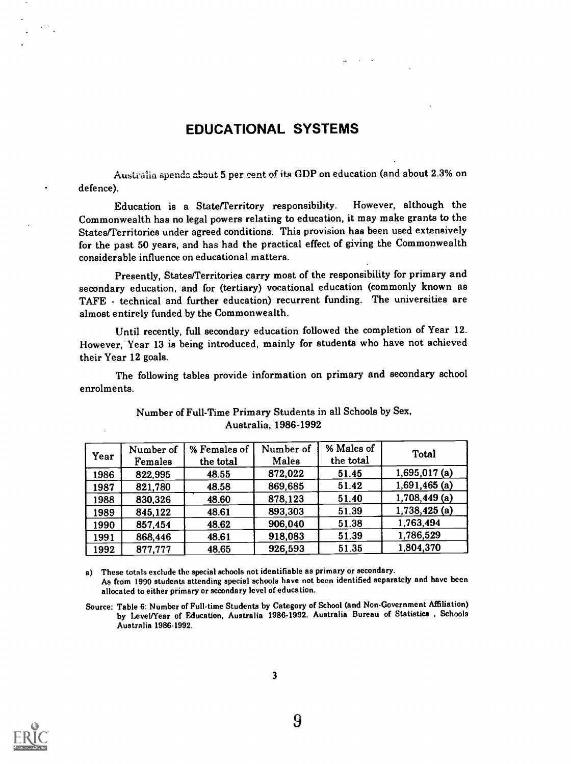### EDUCATIONAL SYSTEMS

Australia spends about 5 per cent of its GDP on education (and about 2.3% on defence).

Education is a State/Territory responsibility. However, although the Commonwealth has no legal powers relating to education, it may make grants to the States/Territories under agreed conditions. This provision has been used extensively for the past 50 years, and has had the practical effect of giving the Commonwealth considerable influence on educational matters.

Presently, States/Territories carry most of the responsibility for primary and secondary education, and for (tertiary) vocational education (commonly known as TAFE - technical and further education) recurrent funding. The universities are almost entirely funded by the Commonwealth.

Until recently, full secondary education followed the completion of Year 12. However, Year 13 is being introduced, mainly for students who have not achieved their Year 12 goals.

The following tables provide information on primary and secondary school enrolments.

| Year | Number of<br>Females | % Females of<br>the total | Number of<br>Males | % Males of<br>the total | Total           |
|------|----------------------|---------------------------|--------------------|-------------------------|-----------------|
| 1986 | 822,995              | 48.55                     | 872,022            | 51.45                   | $1,695,017$ (a) |
| 1987 | 821,780              | 48.58                     | 869,685            | 51.42                   | $1,691,465$ (a) |
| 1988 | 830,326              | 48.60                     | 878,123            | 51.40                   | $1,708,449$ (a) |
| 1989 | 845,122              | 48.61                     | 893,303            | 51.39                   | 1,738,425 (a)   |
| 1990 | 857,454              | 48.62                     | 906,040            | 51.38                   | 1,763,494       |
| 1991 | 868,446              | 48.61                     | 918,083            | 51.39                   | 1,786,529       |
| 1992 | 877,777              | 48.65                     | 926,593            | 51.35                   | 1,804,370       |

### Number of Full-Time Primary Students in all Schools by Sex, Australia, 1986-1992

a) These totals exclude the special schools not identifiable as primary or secondary. As from 1990 students attending special schools have not been identified separately and have been allocated to either primary or secondary level of education.

Source: Table 6: Number of Full-time Students by Category of School (and Non-Government Affiliation) by Level/Year of Education, Australia 1986-1992. Australia Bureau of Statistics, Schools Australia 1986-1992.

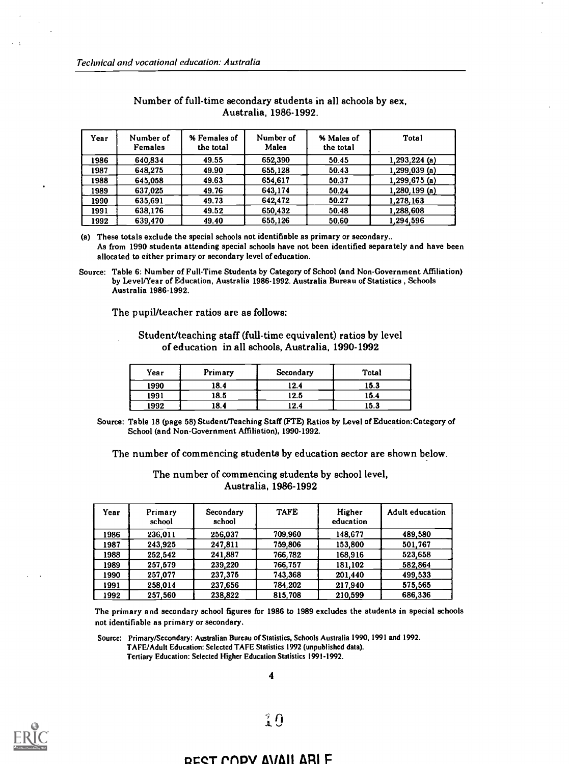| Year | Number of<br>Females | % Females of<br>the total | Number of<br>Males | % Males of<br>the total | Total           |
|------|----------------------|---------------------------|--------------------|-------------------------|-----------------|
| 1986 | 640.834              | 49.55                     | 652.390            | 50.45                   | $1,293,224$ (a) |
| 1987 | 648.275              | 49.90                     | 655,128            | 50.43                   | 1,299,039(a)    |
| 1988 | 645.058              | 49.63                     | 654.617            | 50.37                   | $1,299,675$ (a) |
| 1989 | 637.025              | 49.76                     | 643.174            | 50.24                   | $1,280,199$ (a) |
| 1990 | 635.691              | 49.73                     | 642.472            | 50.27                   | 1.278.163       |
| 1991 | 638.176              | 49.52                     | 650.432            | 50.48                   | 1,288,608       |
| 1992 | 639,470              | 49.40                     | 655.126            | 50.60                   | 1.294.596       |

#### Number of full-time secondary students in all schools by sex, Australia, 1986-1992.

a) These totals exclude the special schools not identifiable as primary or secondary.. As from 1990 students attending special schools have not been identified separately and have been allocated to either primary or secondary level of education.

The pupil/teacher ratios are as follows:

Student/teaching staff (full-time equivalent) ratios by level of education in all schools, Australia, 1990-1992

| Year | Primary | Secondary | Total |
|------|---------|-----------|-------|
| 1990 | 18.4    | 12.4      | 15.3  |
| 1991 | 18.5    | 12.5      | 15.4  |
| 1992 | 18.4    | 12.4      | 15.3  |

Source: Table 18 (page 58) Student/Teaching Staff (FTE) Ratios by Level of Education:Category of School (and Non-Government Affiliation), 1990-1992.

The number of commencing students by education sector are shown below.

The number of commencing students by school level, Australia, 1986-1992

| Year | Primary<br>school | Secondary<br>school | <b>TAFE</b> | Higher<br>education | <b>Adult education</b> |
|------|-------------------|---------------------|-------------|---------------------|------------------------|
| 1986 | 236,011           | 256,037             | 709.960     | 148.677             | 489.580                |
| 1987 | 243.925           | 247.811             | 759.806     | 153.800             | 501.767                |
| 1988 | 252.542           | 241.887             | 766,782     | 168.916             | 523,658                |
| 1989 | 257.579           | 239.220             | 766,757     | 181.102             | 582.864                |
| 1990 | 257.077           | 237.375             | 743,368     | 201,440             | 499.533                |
| 1991 | 258.014           | 237,656             | 784.202     | 217,940             | 575.565                |
| 1992 | 257.560           | 238,822             | 815,708     | 210.599             | 686,336                |

The primary and secondary school figures for 1986 to 1989 excludes the students in special schools not identifiable as primary or secondary.

Source: Primary/Secondary: Australian Bureau of Statistics, Schools Australia 1990, 1991 and 1992. TAFE/Adult Education: Selected TAFE Statistics 1992 (unpublished data). Tertiary Education: Selected Higher Education Statistics 1991-1992.



#### OCCT nnpv AVAII ARI F

Source: Table 6: Number of Full-Time Students by Category of School (and Non-Government Affiliation) by Level/Year of Education, Australia 1986-1992. Australia Bureau of Statistics , Schools Australia 1986-1992.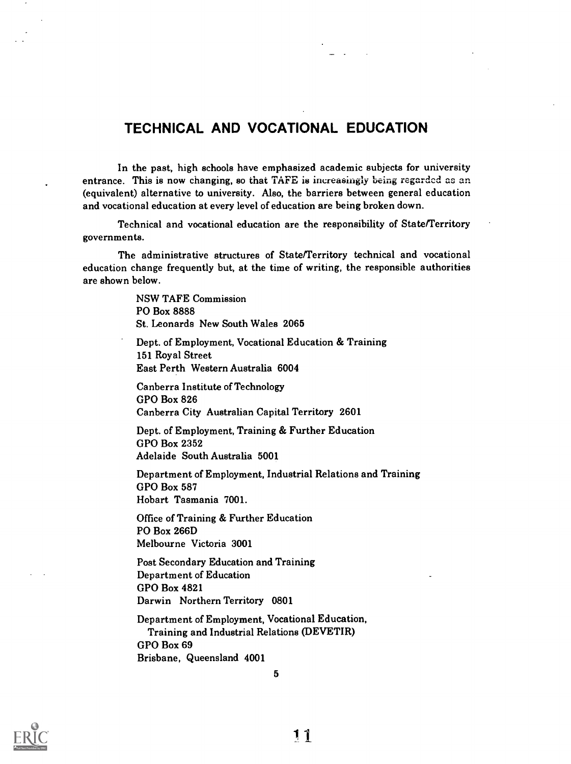### TECHNICAL AND VOCATIONAL EDUCATION

In the past, high schools have emphasized academic subjects for university entrance. This is now changing, so that TAFE is increasingly being regarded as an (equivalent) alternative to university. Also, the barriers between general education and vocational education at every level of education are being broken down.

Technical and vocational education are the responsibility of State/Territory governments.

The administrative structures of State/Territory technical and vocational education change frequently but, at the time of writing, the responsible authorities are shown below.

> NSW TAFE Commission PO Box 8888 St. Leonards New South Wales 2065

Dept. of Employment, Vocational Education & Training 151 Royal Street East Perth Western Australia 6004

Canberra Institute of Technology GPO Box 826 Canberra City Australian Capital Territory 2601

Dept. of Employment, Training & Further Education GPO Box 2352 Adelaide South Australia 5001

Department of Employment, Industrial Relations and Training GPO Box 587 Hobart Tasmania 7001.

Office of Training & Further Education PO Box 266D Melbourne Victoria 3001

Post Secondary Education and Training Department of Education GPO Box 4821 Darwin Northern Territory 0801

Department of Employment, Vocational Education, Training and Industrial Relations (DEVETIR) GPO Box 69 Brisbane, Queensland 4001

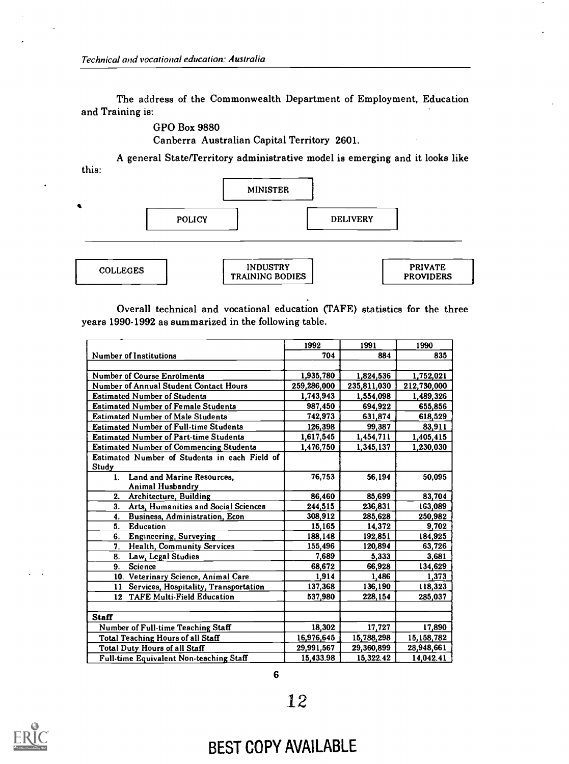The address of the Commonwealth Department of Employment, Education and Training is:

GPO Box 9880

Canberra Australian Capital Territory 2601.

this: A general State/Territory administrative model is emerging and it looks like



TRAINING BODIES

|  |  | Overall technical and vocational education (TAFE) statistics for the three |  |  |  |
|--|--|----------------------------------------------------------------------------|--|--|--|
|  |  | years 1990-1992 as summarized in the following table.                      |  |  |  |

PROVIDERS

|                                                | 1992        | 1991        | 1990        |
|------------------------------------------------|-------------|-------------|-------------|
| <b>Number of Institutions</b>                  | 704         | 884         | 835         |
|                                                |             |             |             |
| <b>Number of Course Enrolments</b>             | 1,935,780   | 1,824,536   | 1,752,021   |
| Number of Annual Student Contact Hours         | 259,286,000 | 235,811,030 | 212,730,000 |
| <b>Estimated Number of Students</b>            | 1,743,943   | 1,554,098   | 1,489,326   |
| <b>Estimated Number of Female Students</b>     | 987,450     | 694.922     | 655,856     |
| <b>Estimated Number of Male Students</b>       | 742,973     | 631,874     | 618,529     |
| <b>Estimated Number of Full-time Students</b>  | 126,398     | 99,387      | 83,911      |
| <b>Estimated Number of Part-time Students</b>  | 1,617,545   | 1,454,711   | 1,405,415   |
| <b>Estimated Number of Commencing Students</b> | 1,476,750   | 1,345,137   | 1,230,030   |
| Estimated Number of Students in each Field of  |             |             |             |
| Study                                          |             |             |             |
| Land and Marine Resources.<br>1.               | 76.753      | 56.194      | 50.095      |
| Animal Husbandry                               |             |             |             |
| 2.<br>Architecture, Building                   | 86,460      | 85,699      | 83,704      |
| 3.<br>Arts, Humanities and Social Sciences     | 244.515     | 236,831     | 163.089     |
| Business, Administration, Econ<br>4.           | 308,912     | 285,628     | 250,982     |
| 5.<br><b>Education</b>                         | 15,165      | 14,372      | 9,702       |
| <b>Engineering, Surveying</b><br>6.            | 188,148     | 192,851     | 184,925     |
| <b>Health, Community Services</b><br>7.        | 155,496     | 120,894     | 63,726      |
| Law, Legal Studies<br>8.                       | 7,689       | 5.333       | 3,681       |
| <b>Science</b><br>9.                           | 68,672      | 66,928      | 134,629     |
| 10. Veterinary Science, Animal Care            | 1,914       | 1,486       | 1,373       |
| Services, Hospitality, Transportation<br>11    | 137,368     | 136,190     | 118,323     |
| 12 TAFE Multi-Field Education                  | 537,980     | 228,154     | 285,037     |
|                                                |             |             |             |
| <b>Staff</b>                                   |             |             |             |
| Number of Full-time Teaching Staff             | 18,302      | 17,727      | 17,890      |
| <b>Total Teaching Hours of all Staff</b>       | 16,976,645  | 15,788,298  | 15,158,782  |
| <b>Total Duty Hours of all Staff</b>           | 29,991,567  | 29,360,899  | 28,948,661  |
| Full-time Equivalent Non-teaching Staff        | 15,433.98   | 15,322.42   | 14,042.41   |



## BEST COPY AVAILABLE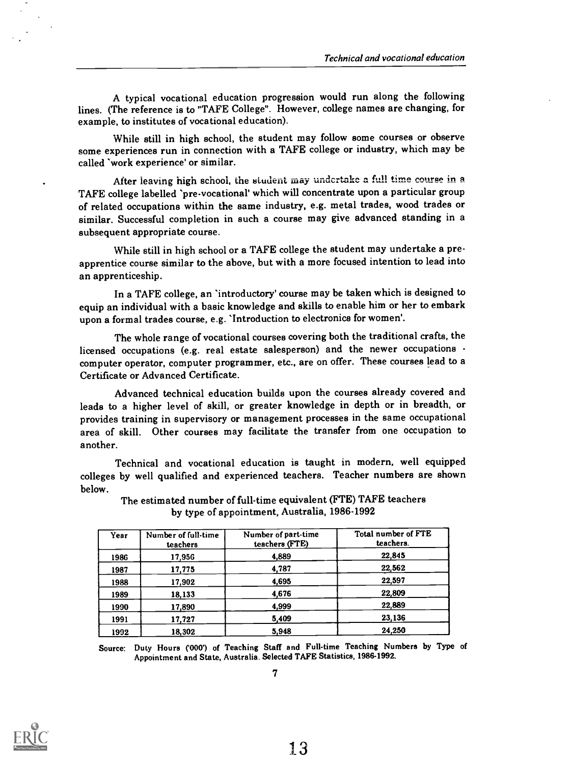A typical vocational education progression would run along the following lines. (The reference is to "TAFE College". However, college names are changing, for example, to institutes of vocational education).

While still in high school, the student may follow some courses or observe some experiences run in connection with a TAFE college or industry, which may be called 'work experience' or similar.

After leaving high school, the student may undertake a full time course in a TAFE college labelled 'pre-vocational' which will concentrate upon a particular group of related occupations within the same industry, e.g. metal trades, wood trades or similar. Successful completion in such a course may give advanced standing in a subsequent appropriate course.

While still in high school or a TAFE college the student may undertake a preapprentice course similar to the above, but with a more focused intention to lead into an apprenticeship.

In a TAFE college, an 'introductory' course may be taken which is designed to equip an individual with a basic knowledge and skills to enable him or her to embark upon a formal trades course, e.g. 'Introduction to electronics for women'.

The whole range of vocational courses covering both the traditional crafts, the licensed occupations (e.g. real estate salesperson) and the newer occupations computer operator, computer programmer, etc., are on offer. These courses lead to a Certificate or Advanced Certificate.

Advanced technical education builds upon the courses already covered and leads to a higher level of skill, or greater knowledge in depth or in breadth, or provides training in supervisory or management processes in the same occupational area of skill. Other courses may facilitate the transfer from one occupation to another.

Technical and vocational education is taught in modern, well equipped colleges by well qualified and experienced teachers. Teacher numbers are shown below.

| Year | Number of full-time<br>teachers | Number of part-time<br>teachers (FTE) | Total number of FTE<br>teachers. |
|------|---------------------------------|---------------------------------------|----------------------------------|
| 1986 | 17.956                          | 4,889                                 | 22,845                           |
| 1987 | 17,775                          | 4,787                                 | 22,562                           |
| 1988 | 17.902                          | 4,695                                 | 22,597                           |
| 1989 | 18.133                          | 4.676                                 | 22,809                           |
| 1990 | 17,890                          | 4,999                                 | 22,889                           |
| 1991 | 17,727                          | 5,409                                 | 23,136                           |
| 1992 | 18.302                          | 5.948                                 | 24,250                           |

The estimated number of full-time equivalent (FTE) TAFE teachers by type of appointment, Australia, 1986-1992

Source: Duty Hours ('000') of Teaching Staff and Full-time Teaching Numbers by Type of Appointment and State, Australia. Selected TAFE Statistics, 1986-1992.

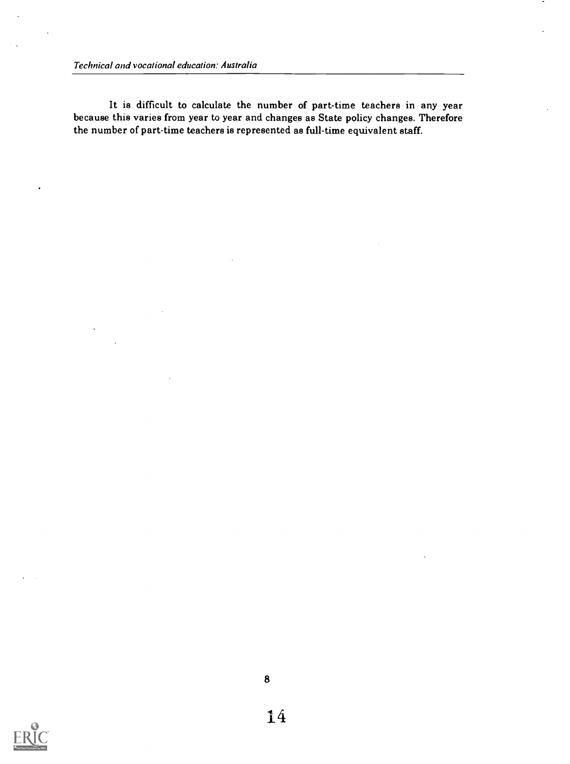Technical and vocational education: Australia

It is difficult to calculate the number of part-time teachers in any year because this varies from year to year and changes as State policy changes. Therefore the number of part-time teachers is represented as full-time equivalent staff.

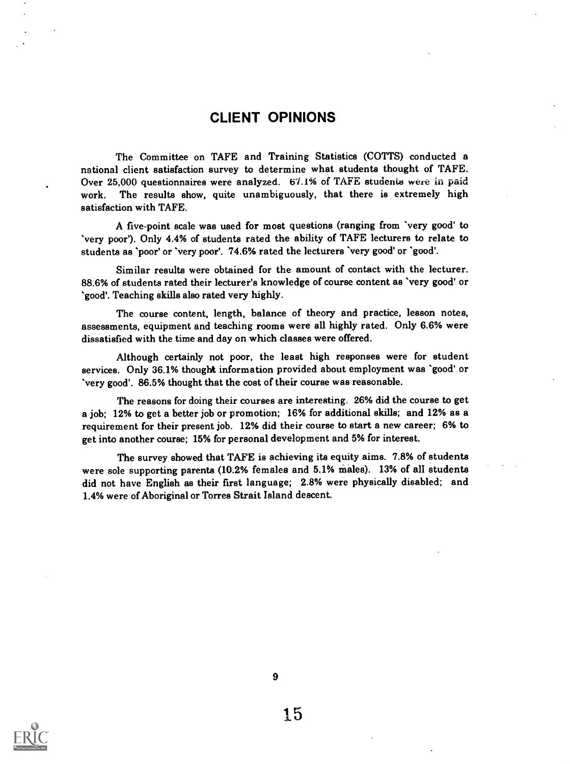### CLIENT OPINIONS

The Committee on TAFE and Training Statistics (COTTS) conducted a national client satisfaction survey to determine what students thought of TAFE. Over 25,000 questionnaires were analyzed. 67.1% of TAFE students were in paid work. The results show, quite unambiguously, that there is extremely high satisfaction with TAFE.

A five-point scale was used for most questions (ranging from 'very good' to 'very poor'). Only 4.4% of students rated the ability of TAFE lecturers to relate to students as 'poor' or 'very poor'. 74.6% rated the lecturers 'very good' or 'good'.

Similar results were obtained for the amount of contact with the lecturer. 88.6% of students rated their lecturer's knowledge of course content as 'very good' or 'good'. Teaching skills also rated very highly.

The course content, length, balance of theory and practice, lesson notes, assessments, equipment and teaching rooms were all highly rated. Only 6.6% were dissatisfied with the time and day on which classes were offered.

Although certainly not poor, the least high responses were for student services. Only 36.1% thought information provided about employment was 'good' or 'very good'. 86.5% thought that the coat of their course was reasonable.

The reasons for doing their courses are interesting. 26% did the course to get a job; 12% to get a better job or promotion; 16% for additional skills; and 12% as a requirement for their present job. 12% did their course to start a new career; 6% to get into another course; 15% for personal development and 5% for interest.

The survey showed that TAFE is achieving its equity aims. 7.8% of students were sole supporting parents (10.2% females and 5.1% males). 13% of all students did not have English as their first language; 2.8% were physically disabled; and 1.4% were of Aboriginal or Torres Strait Island descent.

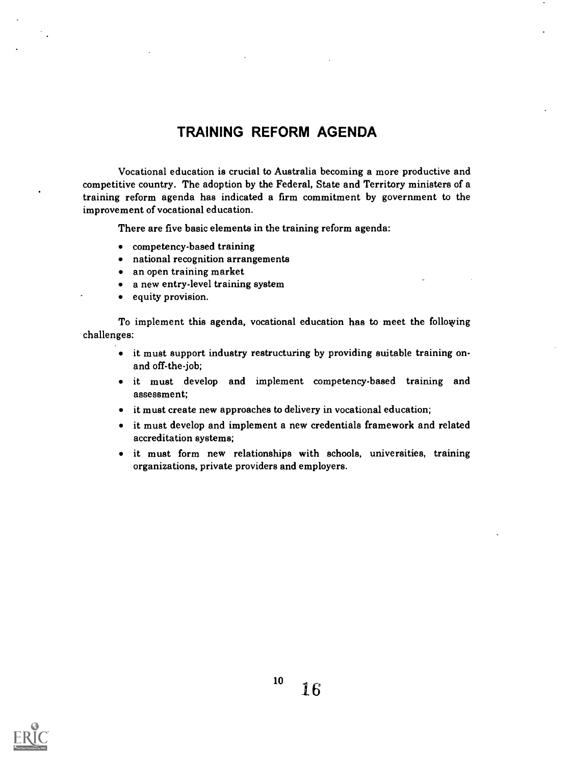### TRAINING REFORM AGENDA

Vocational education is crucial to Australia becoming a more productive and competitive country. The adoption by the Federal, State and Territory ministers of a training reform agenda has indicated a firm commitment by government to the improvement of vocational education.

There are five basic elements in the training reform agenda:

- competency-based training
- national recognition arrangements
- an open training market
- a new entry-level training system
- equity provision.

To implement this agenda, vocational education has to meet the following challenges:

- it must support industry restructuring by providing suitable training onand off-the-job;
- it must develop and implement competency-based training and assessment;
- it must create new approaches to delivery in vocational education;
- it must develop and implement a new credentials framework and related accreditation systems;
- it must form new relationships with schools, universities, training organizations, private providers and employers.

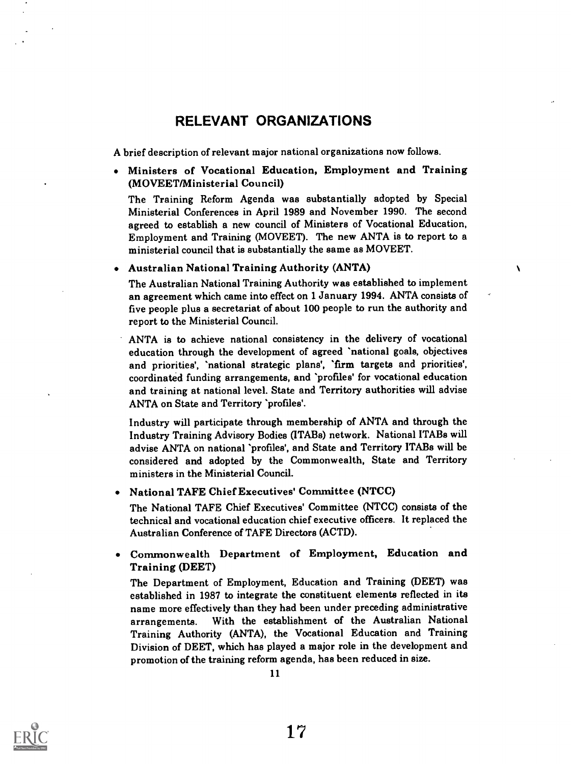### RELEVANT ORGANIZATIONS

A brief description of relevant major national organizations now follows.

Ministers of Vocational Education, Employment and Training (MOVEET/Ministerial Council)

The Training Reform Agenda was substantially adopted by Special Ministerial Conferences in April 1989 and November 1990. The second agreed to establish a new council of Ministers of Vocational Education, Employment and Training (MOVEET). The new ANTA is to report to a ministerial council that is substantially the same as MOVEET.

Australian National Training Authority (ANTA)

The Australian National Training Authority was established to implement an agreement which came into effect on 1 January 1994. ANTA consists of five people plus a secretariat of about 100 people to run the authority and report to the Ministerial Council.

 $\lambda$ 

ANTA is to achieve national consistency in the delivery of vocational education through the development of agreed 'national goals, objectives and priorities', 'national strategic plans', 'firm targets and priorities', coordinated funding arrangements, and 'profiles' for vocational education and training at national level. State and Territory authorities will advise ANTA on State and Territory 'profiles'.

Industry will participate through membership of ANTA and through the Industry Training Advisory Bodies (ITABs) network. National ITABs will advise ANTA on national 'profiles', and State and Territory ITABs will be considered and adopted by the Commonwealth, State and Territory ministers in the Ministerial Council.

National TAFE Chief Executives' Committee (NTCC)

The National TAFE Chief Executives' Committee (NTCC) consists of the technical and vocational education chief executive officers. It replaced the Australian Conference of TAFE Directors (ACTD).

Commonwealth Department of Employment, Education and Training (DEET)

The Department of Employment, Education and Training (DEET) was established in 1987 to integrate the constituent elements reflected in its name more effectively than they had been under preceding administrative arrangements. With the establishment of the Australian National Training Authority (ANTA), the Vocational Education and Training Division of DEET, which has played a major role in the development and promotion of the training reform agenda, has been reduced in size.

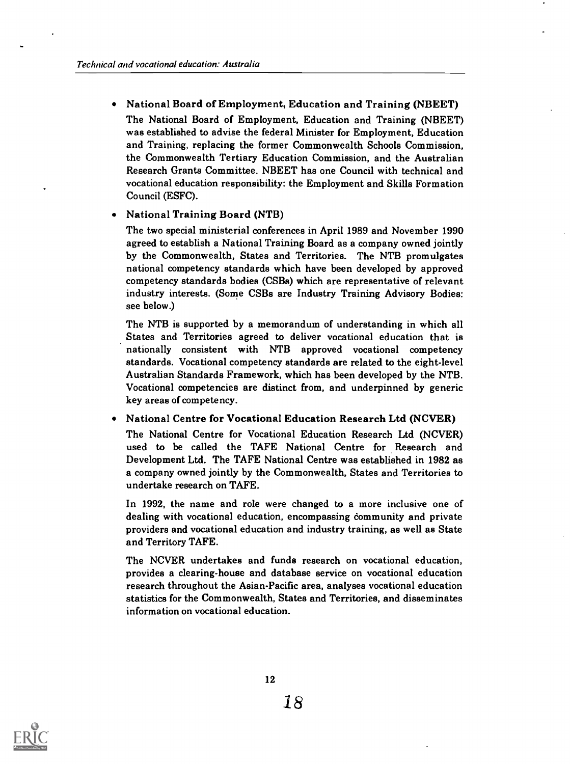### National Board of Employment, Education and Training (NBEET)

The National Board of Employment, Education and Training (NBEET) was established to advise the federal Minister for Employment, Education and Training, replacing the former Commonwealth Schools Commission, the Commonwealth Tertiary Education Commission, and the Australian Research Grants Committee. NBEET has one Council with technical and vocational education responsibility: the Employment and Skills Formation Council (ESFC).

#### National Training Board (NTB)

The two special ministerial conferences in April 1989 and November 1990 agreed to establish a National Training Board as a company owned jointly by the Commonwealth, States and Territories. The NTB promulgates national competency standards which have been developed by approved competency standards bodies (CSBs) which are representative of relevant industry interests. (Some CSBs are Industry Training Advisory Bodies: see below.)

The NTB is supported by a memorandum of understanding in which all States and Territories agreed to deliver vocational education that is nationally consistent with NTB approved vocational competency standards. Vocational competency standards are related to the eight-level Australian Standards Framework, which has been developed by the NTB. Vocational competencies are distinct from, and underpinned by generic key areas of competency.

#### National Centre for Vocational Education Research Ltd (NCVER)

The National Centre for Vocational Education Research Ltd (NCVER) used to be called the TAFE National Centre for Research and Development Ltd. The TAFE National Centre was established in 1982 as a company owned jointly by the Commonwealth, States and Territories to undertake research on TAFE.

In 1992, the name and role were changed to a more inclusive one of dealing with vocational education, encompassing community and private providers and vocational education and industry training, as well as State and Territory TAFE.

The NCVER undertakes and funds research on vocational education, provides a clearing-house and database service on vocational education research throughout the Asian-Pacific area, analyses vocational education statistics for the Commonwealth, States and Territories, and disseminates information on vocational education.

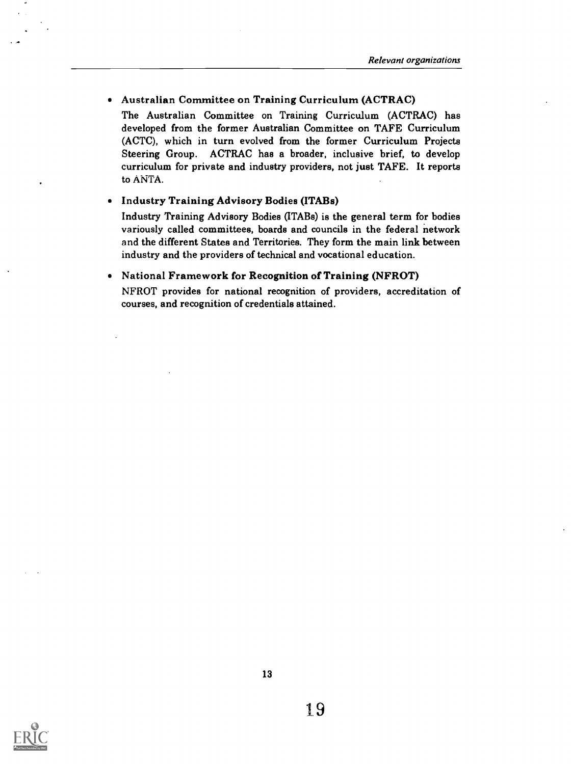Australian Committee on Training Curriculum (ACTRAC)

The Australian Committee on Training Curriculum (ACTRAC) has developed from the former Australian Committee on TAFE Curriculum (ACTC), which in turn evolved from the former Curriculum Projects Steering Group. ACTRAC has a broader, inclusive brief, to develop curriculum for private and industry providers, not just TAFE. It reports to ANTA.

#### Industry Training Advisory Bodies (ITABs)

Industry Training Advisory Bodies (ITABs) is the general term for bodies variously called committees, boards and councils in the federal network and the different States and Territories. They form the main link between industry and the providers of technical and vocational education.

#### National Framework for Recognition of Training (NFROT)

NFROT provides for national recognition of providers, accreditation of courses, and recognition of credentials attained.

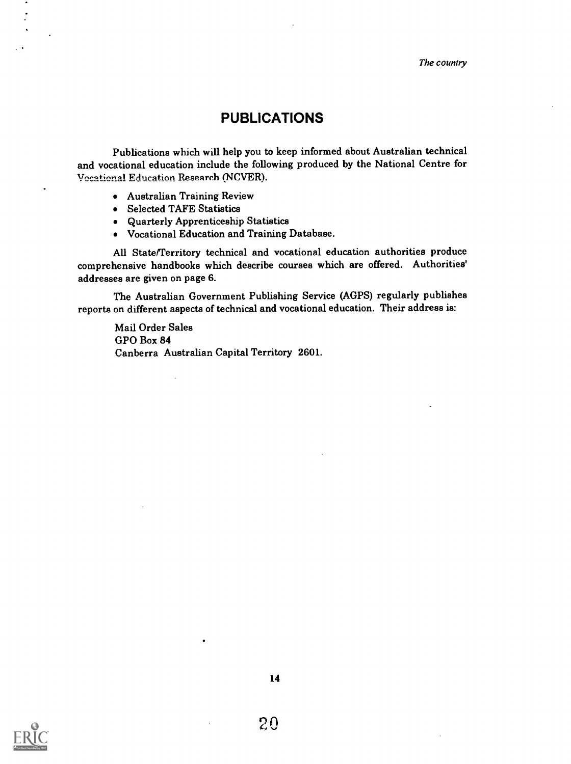The country

### PUBLICATIONS

Publications which will help you to keep informed about Australian technical and vocational education include the following produced by the National Centre for Vocational Education Research (NCVER).

- Australian Training Review
- Selected TAFE Statistics
- Quarterly Apprenticeship Statistics
- Vocational Education and Training Database.

All State/Territory technical and vocational education authorities produce comprehensive handbooks which describe courses which are offered. Authorities' addresses are given on page 6.

The Australian Government Publishing Service (AGPS) regularly publishes reports on different aspects of technical and vocational education. Their address is:

Mail Order Sales GPO Box 84 Canberra Australian Capital Territory 2601.